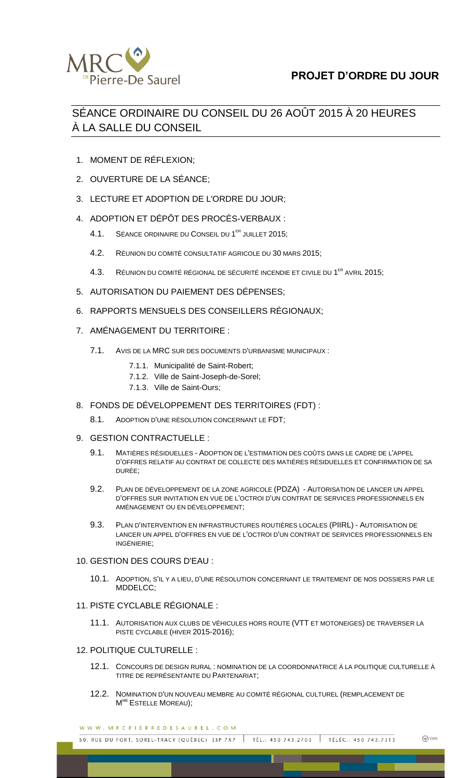

## **PROJET D'ORDRE DU JOUR**

# SÉANCE ORDINAIRE DU CONSEIL DU 26 AOÛT 2015 À 20 HEURES À LA SALLE DU CONSEIL

- 1. MOMENT DE RÉFLEXION;
- 2. OUVERTURE DE LA SÉANCE;
- 3. LECTURE ET ADOPTION DE L'ORDRE DU JOUR;
- 4. ADOPTION ET DÉPÔT DES PROCÈS-VERBAUX :
	- 4.1. SÉANCE ORDINAIRE DU CONSEIL DU 1<sup>ER</sup> JUILLET 2015;
	- 4.2. RÉUNION DU COMITÉ CONSULTATIF AGRICOLE DU 30 MARS 2015;
	- 4.3. RÉUNION DU COMITÉ RÉGIONAL DE SÉCURITÉ INCENDIE ET CIVILE DU 1<sup>ER</sup> AVRIL 2015;
- 5. AUTORISATION DU PAIEMENT DES DÉPENSES;
- 6. RAPPORTS MENSUELS DES CONSEILLERS RÉGIONAUX;
- 7. AMÉNAGEMENT DU TERRITOIRE :
	- 7.1. AVIS DE LA MRC SUR DES DOCUMENTS D'URBANISME MUNICIPAUX :
		- 7.1.1. Municipalité de Saint-Robert;
		- 7.1.2. Ville de Saint-Joseph-de-Sorel;
		- 7.1.3. Ville de Saint-Ours;
- 8. FONDS DE DÉVELOPPEMENT DES TERRITOIRES (FDT) :
	- 8.1. ADOPTION D'UNE RÉSOLUTION CONCERNANT LE FDT;

#### 9. GESTION CONTRACTUELLE :

- 9.1. MATIÈRES RÉSIDUELLES ADOPTION DE L'ESTIMATION DES COÛTS DANS LE CADRE DE L'APPEL D'OFFRES RELATIF AU CONTRAT DE COLLECTE DES MATIÈRES RÉSIDUELLES ET CONFIRMATION DE SA DURÉE;
- 9.2. PLAN DE DÉVELOPPEMENT DE LA ZONE AGRICOLE (PDZA) AUTORISATION DE LANCER UN APPEL D'OFFRES SUR INVITATION EN VUE DE L'OCTROI D'UN CONTRAT DE SERVICES PROFESSIONNELS EN AMÉNAGEMENT OU EN DÉVELOPPEMENT;
- 9.3. PLAN D'INTERVENTION EN INFRASTRUCTURES ROUTIÈRES LOCALES (PIIRL) AUTORISATION DE LANCER UN APPEL D'OFFRES EN VUE DE L'OCTROI D'UN CONTRAT DE SERVICES PROFESSIONNELS EN INGÉNIERIE;

#### 10. GESTION DES COURS D'EAU :

10.1. ADOPTION, S'IL Y A LIEU, D'UNE RÉSOLUTION CONCERNANT LE TRAITEMENT DE NOS DOSSIERS PAR LE MDDELCC;

## 11. PISTE CYCLABLE RÉGIONALE :

11.1. AUTORISATION AUX CLUBS DE VÉHICULES HORS ROUTE (VTT ET MOTONEIGES) DE TRAVERSER LA PISTE CYCLABLE (HIVER 2015-2016);

## 12. POLITIQUE CULTURELLE :

- 12.1. CONCOURS DE DESIGN RURAL : NOMINATION DE LA COORDONNATRICE À LA POLITIQUE CULTURELLE À TITRE DE REPRÉSENTANTE DU PARTENARIAT;
- 12.2. NOMINATION D'UN NOUVEAU MEMBRE AU COMITÉ RÉGIONAL CULTUREL (REMPLACEMENT DE M<sup>ME</sup> ESTELLE MOREAU);

WWW.MRCPIERREDESAUREL.COM